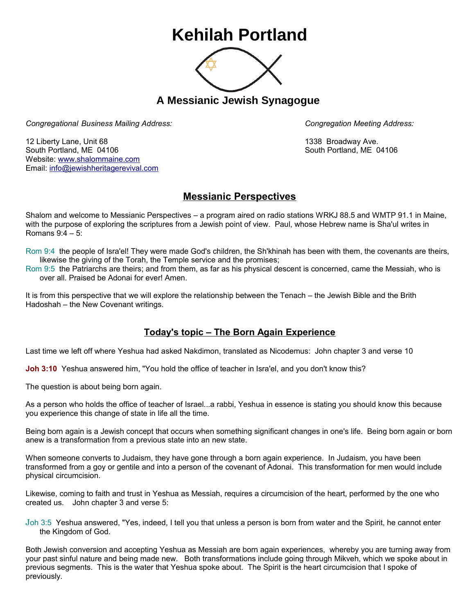## **Kehilah Portland**



**A Messianic Jewish Synagogue** 

*Congregational Business Mailing Address: Congregation Meeting Address:*

12 Liberty Lane, Unit 68 1338 Broadway Ave. South Portland, ME 04106 South Portland, ME 04106 Website: [www.shalommaine.com](http://www.shalommaine.com/) Email: [info@jewishheritagerevival.com](mailto:info@jewishheritagerevival.com) 

## **Messianic Perspectives**

Shalom and welcome to Messianic Perspectives – a program aired on radio stations WRKJ 88.5 and WMTP 91.1 in Maine, with the purpose of exploring the scriptures from a Jewish point of view. Paul, whose Hebrew name is Sha'ul writes in Romans 9:4 – 5:

- Rom 9:4 the people of Isra'el! They were made God's children, the Sh'khinah has been with them, the covenants are theirs, likewise the giving of the Torah, the Temple service and the promises;
- Rom 9:5 the Patriarchs are theirs; and from them, as far as his physical descent is concerned, came the Messiah, who is over all. Praised be Adonai for ever! Amen.

It is from this perspective that we will explore the relationship between the Tenach – the Jewish Bible and the Brith Hadoshah – the New Covenant writings.

## **Today's topic – The Born Again Experience**

Last time we left off where Yeshua had asked Nakdimon, translated as Nicodemus: John chapter 3 and verse 10

**Joh 3:10** Yeshua answered him, "You hold the office of teacher in Isra'el, and you don't know this?

The question is about being born again.

As a person who holds the office of teacher of Israel...a rabbi, Yeshua in essence is stating you should know this because you experience this change of state in life all the time.

Being born again is a Jewish concept that occurs when something significant changes in one's life. Being born again or born anew is a transformation from a previous state into an new state.

When someone converts to Judaism, they have gone through a born again experience. In Judaism, you have been transformed from a goy or gentile and into a person of the covenant of Adonai. This transformation for men would include physical circumcision.

Likewise, coming to faith and trust in Yeshua as Messiah, requires a circumcision of the heart, performed by the one who created us. John chapter 3 and verse 5:

Joh 3:5 Yeshua answered, "Yes, indeed, I tell you that unless a person is born from water and the Spirit, he cannot enter the Kingdom of God.

Both Jewish conversion and accepting Yeshua as Messiah are born again experiences, whereby you are turning away from your past sinful nature and being made new. Both transformations include going through Mikveh, which we spoke about in previous segments. This is the water that Yeshua spoke about. The Spirit is the heart circumcision that I spoke of previously.